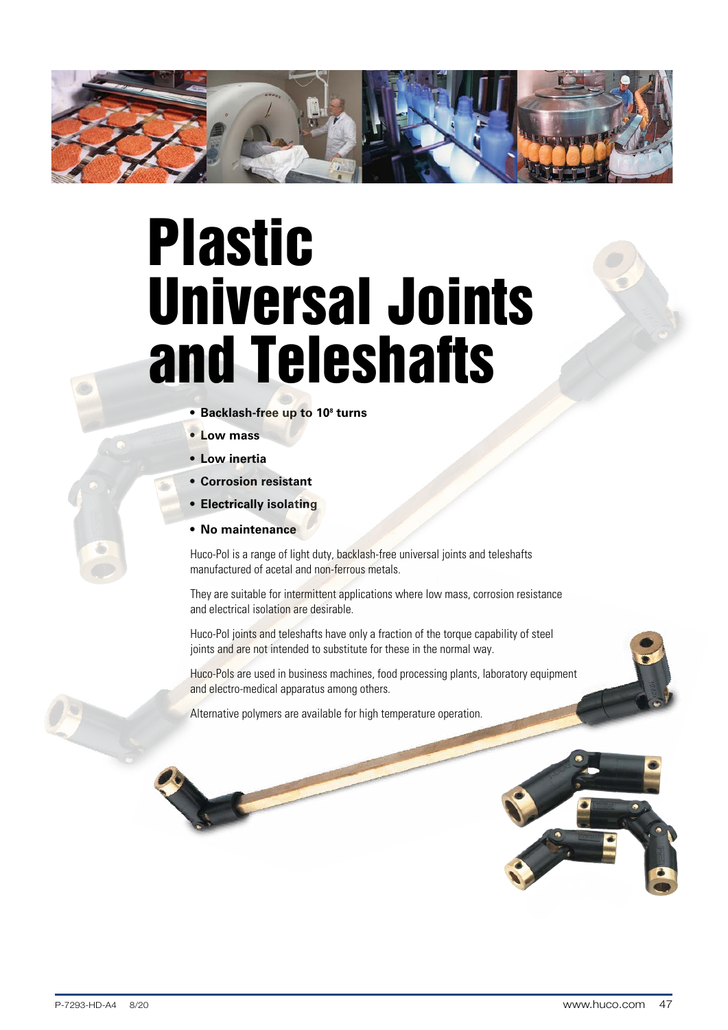

# Plastic Universal Joints and Teleshafts

- **• Backlash-free up to 108 turns**
- **• Low mass**
- **• Low inertia**
- **• Corrosion resistant**
- **• Electrically isolating**
- **• No maintenance**

Huco-Pol is a range of light duty, backlash-free universal joints and teleshafts manufactured of acetal and non-ferrous metals.

They are suitable for intermittent applications where low mass, corrosion resistance and electrical isolation are desirable.

Huco-Pol joints and teleshafts have only a fraction of the torque capability of steel joints and are not intended to substitute for these in the normal way.

Huco-Pols are used in business machines, food processing plants, laboratory equipment and electro-medical apparatus among others.

Alternative polymers are available for high temperature operation.